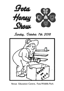

# Sunday, October 7th 2018



Venue: Education Centre, Fota Wildlife Park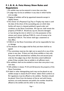## **F. I. B. K. A. Fota Honey Show Rules and Regulations**

- 1. An exhibit may not be entered in more than one class.
- 2. A judge may not be an exhibitor in any class in which he/she acts as judge.
- 3. Staging of exhibits will be by appointed stewards except in display classes.
- 4. The winner of a Perpetual Cup, Tray or Trophy may retain it until the date of the show of the succeeding year, on which date he/she will return it, cleaned, polished in good order and condition, to the Show Committee. All cups etc. shall remain the property of F.I.B.K.A. Should any cup etc. become damaged or lost during the time in which it is in the possession of the winner, such winner shall pay F.I.B.K.A. a sum of money to be decided by F.I.B.K.A. The winner shall sign a statement to that effect.
- 5. F.I.B.K.A or the Show Committee will not be responsible for loss or damage.
- 6. The decision of the judges shall be final, and there shall be no appeal.
- 7. The committee reserves the right not to award all or any of the prizes in any class. If there are only three exhibits or less, only first prize will be awarded; four exhibits, first and second prize only; but the judges may, at their discretion, award additional prizes if they consider that an exhibit is of sufficient merit.
- 8. An exhibitor shall not be entitled to more than one prize in any one class.
- 9. Gift exhibits in classes 19, 25 and 26 become the property of the Show Committee.
- 10. A label or other distinguishing mark may not be placed on any exhibit except in classes 8 and 9 where labels which conform to EU regulations must be affixed to the exhibits. Numbers should be placed 12mm from the bottom of the jar and with frames, sections, cut-comb, beeswax and polish; one number should be affixed to the exhibit and the other to the covering.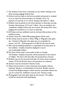- 11. The decision of the show committee on any matter relating to the Show (except judging) shall be final.
- 12. Entries must be made on the form provided and posted or emailed so as to reach the show secretary on October 3rd or by payment of a late fee of € 1.50 on October 6th before 11.45am.
- 13. Exhibits must be placed on the show benches on Saturday morning October 6th between 10.15 and 11.45am. Once an exhibitor has completed a display he/she may not re-enter the honey show room. Judging will commence at 12 noon on Saturday.
- 14. All Honey and wax exhibited must be the bona-fide produce of the exhibitors bees.
- 15. Honey colour B.S. 1656/1950 grading glasses will be used.
- 16. Run honey must be shown in either 340g or 454g plain clear glass jars. However, 227g plain clear glass jars are acceptable for classes 1, 8, & 9. Gold lacquered or F.I.B.K.A. lids must be used.
- 17. Wax may be exhibited polished or unpolished at the discretion of the exhibitor. Candles should be displayed in secure non-combustible holders.
- 18. The show will be open to the public at 2pm on Sunday 7th October. Trophies and prizes will be presented to the winners at 4.30pm. The show will close after the presentation of prizes.
- 19. Exhibits may not be removed until after the show closes, except in classes 19, 25 and 26; then only in the presence of a steward.
- 20. Sections must be enclosed in Section Cases.
- 21. Mead must be shown in clear, colourless wine bottles, without lettering, fluting, or ornamentation of any kind. Bottles must be corked with flanged stoppers which must be removable without the use of a corkscrew. Exhibitors must be over 18 years of age.
- 22. Photographs must have been taken by the entrant. The subject should be connected with beekeeping.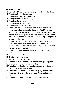## **Open Classes**

- 1. International Class: 24 jars of either light, medium, or dark honey.
- 2. Three jars of light coloured honey.
- 3. Three jars of medium coloured honey.
- 4. Three jars of dark coloured honey.
- 5. Three jars of chunk honey.
- 6. Three jars of granulated honey.
- 7. Three jars of ling heather honey.
- 8. Commercial class: 12 jars of light, medium, dark, or granulated honey, but all of the same; to be shown as offered for sale. All jars to be labelled with exhibitors own labels, including name and address. Besides the quality of the honey the attractiveness of the exhibit will be taken into consideration by the judge. Competitors to supply display stand.
- 9. Commercial class: 12 jars of light, medium, dark, or granulated honey, but all of the same; to be shown as offered for sale. All jars to be labelled with exhibitors own labels, including name and address. No stand required.
- 10. One frame, three jars of light honey and three jars of medium honey
- 11. Two sections of floral honey.
- 12. One frame of comb honey.
- 13. Two sections of heather honey.
- 14. One container of cut comb honey minimum weight 175g pack.
- 15. One cake of beeswax (not less than 227g).
- 16. Three Beeswax Candles. All made by moulding, to be displayed erect. One to be lit by the judge.
- 17. Three Beeswax Candles. All to be made by any method other than by moulding, to be displayed erect. One to be lit by the judge.
- 18. One Beeswax Model, colour permitted, candles excluded.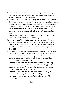- 19. Gift class: One section or one jar (may be light, medium, dark, heather, granulated, or creamed honey), class will be disposed of at the discretion of the Show Committee.
- 20. Collection of bee products; consisting of two sections, two jars of light honey, two jars of medium honey, two jars of crystallised honey, one cake of beeswax not less than 227g. All jars in this class to be of uniform shape and size. A space approximately 90cm. by 90cm. will be available for each exhibit. Exhibitors may make use of anything which they consider will add to the effectiveness of the display.
- 21. Novice: one jar of honey or one section. Only those who have not won a prize for honey at any show are eligible.
- 22. Novice: 3 jars of light, medium, dark or heather honey. Open to exhibitors who have not won a prize in any class except class 21.
- 23. Novice: 6 jars of light, medium, dark or heather honey. Open to exhibitors who have not won a prize in any class except classes 21 and 22.
- 24. Ornamental display class: Honey, beeswax, or mead, together with decorative material, coloured beeswax and any size or shape of jar which is saleable may be used. Quantity of honey to be staged to be at least 9kg. Size of exhibit not to exceed 90cm by 90cm. Rule 16 does not apply.
- 25. Gift class: Honey cake no. 1: Honey fruit cake made with 227g (8 oz.) self-raising flour, 170g (6 oz.) Irish honey, 113g (4 oz.) butter or margarine, 170g (6 oz.) sultanas, two eggs and a pinch of salt. Bake in a 6.5"-7.5" circular tin.
- 26. Gift class: Honey cake no. 2: Honey cake made with 227g (8 oz.) self-raising flour, 170g (6 oz.) Irish honey, 113g (4 oz.) butter or margarine, two eggs and a pinch of salt. Bake in a 6.5"-7.5" circular tin.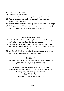- 27. One bottle of dry mead.
- 28. One bottle of sweet Mead.
- 29. By-products: Polish or furniture polish in any size jar or tin.
- 30. Miscellaneous: An interesting or instructive exhibit or new invention relating to bees.
- 31. Toffee, Caramel, or Sweets. Honey must be included in the recipe.
- 32. Photographic class: Colour transparency ( one slide per entry), Colour or Black and White print (one print per entry).

#### **Confined Classes**

- 33. Co. Cork B.K.A.: 3 jars of either light, medium, or dark honey, confined to members of the Co. Cork association.
- 34. Co. Cork B.K.A.: 3 jars of either light, medium, or dark honey, confined to members of the Co. Cork association who have not previously won a prize in the show.
- 35. East Cork B.K.A.: 3 jars of either light, medium, or dark honey, confined to members of the East Cork association.

#### **Sponsors**

The Show Committee wish to acknowledge with gratitude the generous support given by the following:

Ballymaloe Cookery School, Shanagarry, Co. Cork. Bee Supplies, 67c Heather Rd. Sandyford Ind. Est. Dublin 18. Carraig Print, Ballinbrittig, Carrigtwohill. Fota Wildlife Park. Jameson Heritage Centre, Midleton.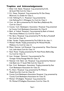#### **Trophies and Acknowledgements**

- 1 Allied Irish Banks Perpetual Cup, presented by A.I.B., 66 South Mall, Cork for Class 1.
- 2 D. J. Deasy Perpetual Cup, presented by Mr. Dan Deasy, Blackrock, Co. Dublin for Class 2.
- 3 Irish Refining P. L. C. Perpetual Cup, presented by Irish Refining P.L.C., Whitegate, Co. Cork for Class 3.
- 4 Corn de Barra, presented by Mr. Noel Barry, Ballyhooly Rd., Cork for Class 6.
- 5 County Cork Beekeepers Association Perpetual Tray, presented by County Cork Beekeepers Association for Class 8.
- 6 Bank of Ireland Perpetual Cup, presented by Bank of Ireland, Main Street, Midleton, Co. Cork for Class 9.
- 7 Pat Barry Perpetual Cup, presented by Mr. Pat Barry, Pouladuff Rd., Cork for Class 10.
- 8 Bee Garden Trophy, presented by The F.I.B.K.A. for class 11.
- 9 Michael Woulfe Trophy, presented by Mr. Michael Woulfe, Midleton, Co. Cork for class 12.
- 10 Mitsui Denman Ltd. Perpetual Cup, presented by Mitsui Denman Ltd., Little Island, Cork for Class 14.
- 11 Noel Power Trophy, presented by Mr. Noel Power, Ballincollig, Co. Cork for Class 15.
- 12 Liam Grainger Memorial Cup, presented by The Grainger Family, Passage West for Class 19.
- 13 National Irish Bank Ltd. Perpetual Cup, presented by National Irish Bank Ltd., 71 South Mall, Cork for Class 21.
- 14 East Cork Beekeepers Association Trophy, presented by East Cork Beekeepers Association for Class 22.
- 15 P.J. Ahern Perpetual Cup, presented by Mr. P.Ahern, Model Farm Rd., Cork for Class 23.
- 16 County Cork Beekeepers Association Perpetual Cup, presented by County Cork Beekeepers Association for Class 32.
- 17 Michael O'Callaghan Perpetual Cup, presented by Mr. Michael O'Callaghan, Riverstown, Cork for Class 33.